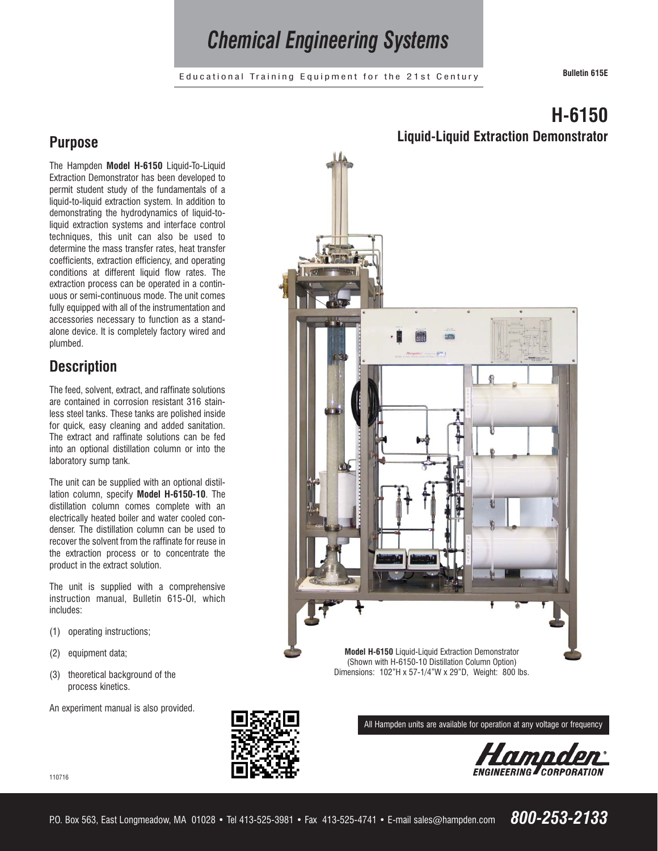# *Chemical Engineering Systems*

Educational Training Equipment for the 21st Century **Bulletin 615E**

### **Purpose**

The Hampden **Model H-6150** Liquid-To-Liquid Extraction Demonstrator has been developed to permit student study of the fundamentals of a liquid-to-liquid extraction system. In addition to demonstrating the hydrodynamics of liquid-toliquid extraction systems and interface control techniques, this unit can also be used to determine the mass transfer rates, heat transfer coefficients, extraction efficiency, and operating conditions at different liquid flow rates. The extraction process can be operated in a continuous or semi-continuous mode. The unit comes fully equipped with all of the instrumentation and accessories necessary to function as a standalone device. It is completely factory wired and plumbed.

## **Description**

The feed, solvent, extract, and raffinate solutions are contained in corrosion resistant 316 stainless steel tanks. These tanks are polished inside for quick, easy cleaning and added sanitation. The extract and raffinate solutions can be fed into an optional distillation column or into the laboratory sump tank.

The unit can be supplied with an optional distillation column, specify **Model H-6150-10**. The distillation column comes complete with an electrically heated boiler and water cooled condenser. The distillation column can be used to recover the solvent from the raffinate for reuse in the extraction process or to concentrate the product in the extract solution.

The unit is supplied with a comprehensive instruction manual, Bulletin 615-OI, which includes:

- (1) operating instructions;
- (2) equipment data;

110716

(3) theoretical background of the process kinetics.

An experiment manual is also provided.



(Shown with H-6150-10 Distillation Column Option) Dimensions: 102"H x 57-1/4"W x 29"D, Weight: 800 lbs.

All Hampden units are available for operation at any voltage or frequency



## **H-6150 Liquid-Liquid Extraction Demonstrator**